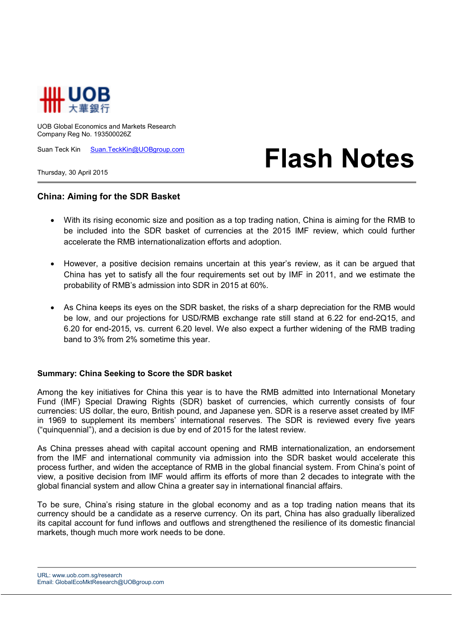

UOB Global Economics and Markets Research Company Reg No. 193500026Z

Suan Teck Kin Suan.TeckKin@UOBgroup.com

Thursday, 30 April 2015

# **Flash Notes**

## **China: Aiming for the SDR Basket**

- With its rising economic size and position as a top trading nation, China is aiming for the RMB to be included into the SDR basket of currencies at the 2015 IMF review, which could further accelerate the RMB internationalization efforts and adoption.
- However, a positive decision remains uncertain at this year's review, as it can be argued that China has yet to satisfy all the four requirements set out by IMF in 2011, and we estimate the probability of RMB's admission into SDR in 2015 at 60%.
- As China keeps its eyes on the SDR basket, the risks of a sharp depreciation for the RMB would be low, and our projections for USD/RMB exchange rate still stand at 6.22 for end-2Q15, and 6.20 for end-2015, vs. current 6.20 level. We also expect a further widening of the RMB trading band to 3% from 2% sometime this year.

## **Summary: China Seeking to Score the SDR basket**

Among the key initiatives for China this year is to have the RMB admitted into International Monetary Fund (IMF) Special Drawing Rights (SDR) basket of currencies, which currently consists of four currencies: US dollar, the euro, British pound, and Japanese yen. SDR is a reserve asset created by IMF in 1969 to supplement its members' international reserves. The SDR is reviewed every five years ("quinquennial"), and a decision is due by end of 2015 for the latest review.

As China presses ahead with capital account opening and RMB internationalization, an endorsement from the IMF and international community via admission into the SDR basket would accelerate this process further, and widen the acceptance of RMB in the global financial system. From China's point of view, a positive decision from IMF would affirm its efforts of more than 2 decades to integrate with the global financial system and allow China a greater say in international financial affairs.

To be sure, China's rising stature in the global economy and as a top trading nation means that its currency should be a candidate as a reserve currency. On its part, China has also gradually liberalized its capital account for fund inflows and outflows and strengthened the resilience of its domestic financial markets, though much more work needs to be done.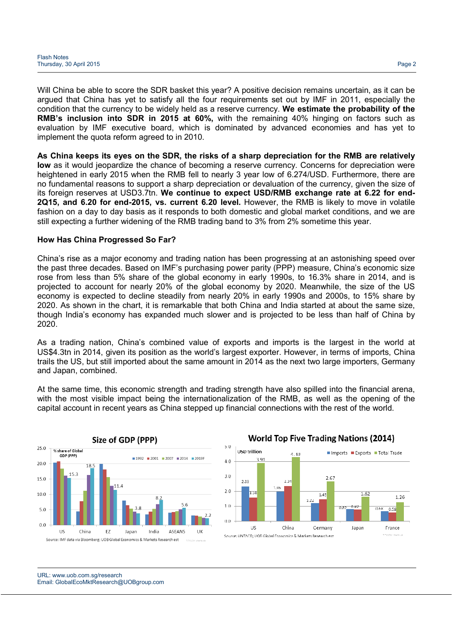Will China be able to score the SDR basket this year? A positive decision remains uncertain, as it can be argued that China has yet to satisfy all the four requirements set out by IMF in 2011, especially the condition that the currency to be widely held as a reserve currency. **We estimate the probability of the RMB's inclusion into SDR in 2015 at 60%,** with the remaining 40% hinging on factors such as evaluation by IMF executive board, which is dominated by advanced economies and has yet to implement the quota reform agreed to in 2010.

**As China keeps its eyes on the SDR, the risks of a sharp depreciation for the RMB are relatively low** as it would jeopardize the chance of becoming a reserve currency. Concerns for depreciation were heightened in early 2015 when the RMB fell to nearly 3 year low of 6.274/USD. Furthermore, there are no fundamental reasons to support a sharp depreciation or devaluation of the currency, given the size of its foreign reserves at USD3.7tn. **We continue to expect USD/RMB exchange rate at 6.22 for end-2Q15, and 6.20 for end-2015, vs. current 6.20 level.** However, the RMB is likely to move in volatile fashion on a day to day basis as it responds to both domestic and global market conditions, and we are still expecting a further widening of the RMB trading band to 3% from 2% sometime this year.

#### **How Has China Progressed So Far?**

China's rise as a major economy and trading nation has been progressing at an astonishing speed over the past three decades. Based on IMF's purchasing power parity (PPP) measure, China's economic size rose from less than 5% share of the global economy in early 1990s, to 16.3% share in 2014, and is projected to account for nearly 20% of the global economy by 2020. Meanwhile, the size of the US economy is expected to decline steadily from nearly 20% in early 1990s and 2000s, to 15% share by 2020. As shown in the chart, it is remarkable that both China and India started at about the same size, though India's economy has expanded much slower and is projected to be less than half of China by 2020.

As a trading nation, China's combined value of exports and imports is the largest in the world at US\$4.3tn in 2014, given its position as the world's largest exporter. However, in terms of imports, China trails the US, but still imported about the same amount in 2014 as the next two large importers, Germany and Japan, combined.

At the same time, this economic strength and trading strength have also spilled into the financial arena, with the most visible impact being the internationalization of the RMB, as well as the opening of the capital account in recent years as China stepped up financial connections with the rest of the world.





## **World Top Five Trading Nations (2014)**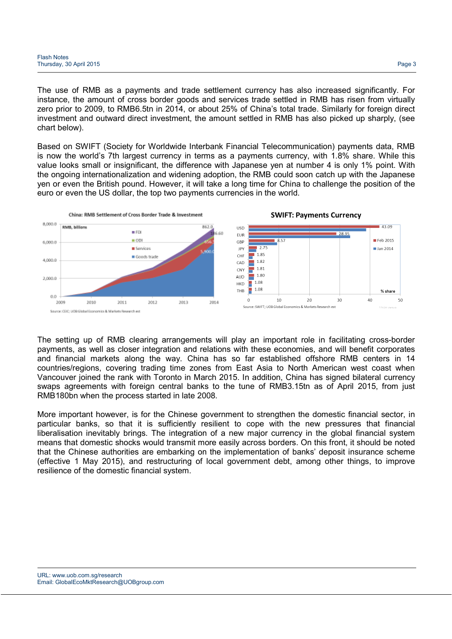The use of RMB as a payments and trade settlement currency has also increased significantly. For instance, the amount of cross border goods and services trade settled in RMB has risen from virtually zero prior to 2009, to RMB6.5tn in 2014, or about 25% of China's total trade. Similarly for foreign direct investment and outward direct investment, the amount settled in RMB has also picked up sharply, (see chart below).

Based on SWIFT (Society for Worldwide Interbank Financial Telecommunication) payments data, RMB is now the world's 7th largest currency in terms as a payments currency, with 1.8% share. While this value looks small or insignificant, the difference with Japanese yen at number 4 is only 1% point. With the ongoing internationalization and widening adoption, the RMB could soon catch up with the Japanese yen or even the British pound. However, it will take a long time for China to challenge the position of the euro or even the US dollar, the top two payments currencies in the world.



The setting up of RMB clearing arrangements will play an important role in facilitating cross-border payments, as well as closer integration and relations with these economies, and will benefit corporates and financial markets along the way. China has so far established offshore RMB centers in 14 countries/regions, covering trading time zones from East Asia to North American west coast when Vancouver joined the rank with Toronto in March 2015. In addition, China has signed bilateral currency swaps agreements with foreign central banks to the tune of RMB3.15tn as of April 2015, from just RMB180bn when the process started in late 2008.

More important however, is for the Chinese government to strengthen the domestic financial sector, in particular banks, so that it is sufficiently resilient to cope with the new pressures that financial liberalisation inevitably brings. The integration of a new major currency in the global financial system means that domestic shocks would transmit more easily across borders. On this front, it should be noted that the Chinese authorities are embarking on the implementation of banks' deposit insurance scheme (effective 1 May 2015), and restructuring of local government debt, among other things, to improve resilience of the domestic financial system.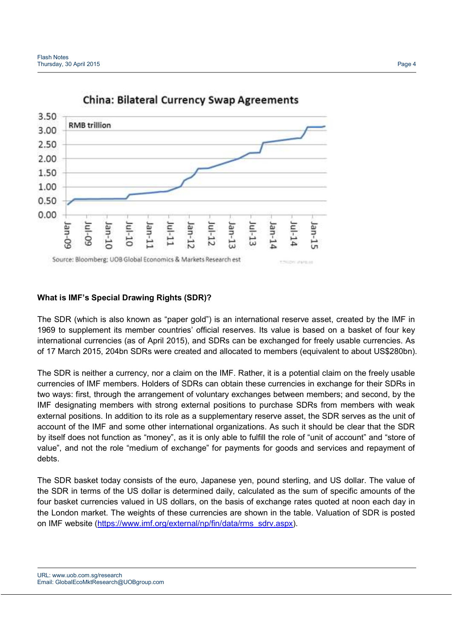

# **China: Bilateral Currency Swap Agreements**

## **What is IMF's Special Drawing Rights (SDR)?**

The SDR (which is also known as "paper gold") is an international reserve asset, created by the IMF in 1969 to supplement its member countries' official reserves. Its value is based on a basket of four key international currencies (as of April 2015), and SDRs can be exchanged for freely usable currencies. As of 17 March 2015, 204bn SDRs were created and allocated to members (equivalent to about US\$280bn).

The SDR is neither a currency, nor a claim on the IMF. Rather, it is a potential claim on the freely usable currencies of IMF members. Holders of SDRs can obtain these currencies in exchange for their SDRs in two ways: first, through the arrangement of voluntary exchanges between members; and second, by the IMF designating members with strong external positions to purchase SDRs from members with weak external positions. In addition to its role as a supplementary reserve asset, the SDR serves as the unit of account of the IMF and some other international organizations. As such it should be clear that the SDR by itself does not function as "money", as it is only able to fulfill the role of "unit of account" and "store of value", and not the role "medium of exchange" for payments for goods and services and repayment of debts.

The SDR basket today consists of the euro, Japanese yen, pound sterling, and US dollar. The value of the SDR in terms of the US dollar is determined daily, calculated as the sum of specific amounts of the four basket currencies valued in US dollars, on the basis of exchange rates quoted at noon each day in the London market. The weights of these currencies are shown in the table. Valuation of SDR is posted on IMF website (https://www.imf.org/external/np/fin/data/rms\_sdrv.aspx).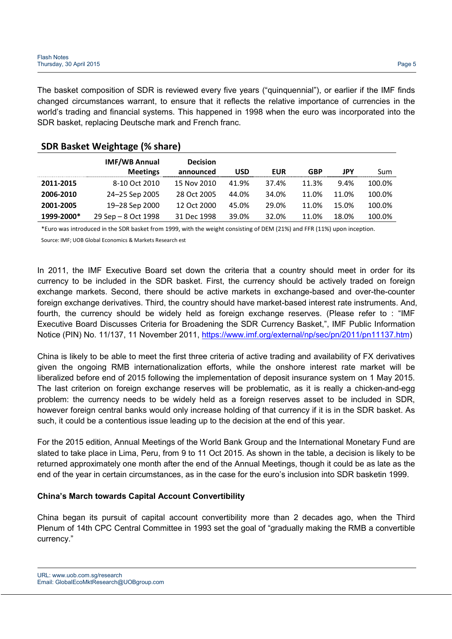The basket composition of SDR is reviewed every five years ("quinquennial"), or earlier if the IMF finds changed circumstances warrant, to ensure that it reflects the relative importance of currencies in the world's trading and financial systems. This happened in 1998 when the euro was incorporated into the SDR basket, replacing Deutsche mark and French franc.

|            | <b>IMF/WB Annual</b><br><b>Meetings</b> | <b>Decision</b><br>announced | <b>USD</b> | <b>EUR</b> | GBP   | JPY   | Sum    |
|------------|-----------------------------------------|------------------------------|------------|------------|-------|-------|--------|
| 2011-2015  | 8-10 Oct 2010                           | 15 Nov 2010                  | 41.9%      | 37.4%      | 11.3% | 9.4%  | 100.0% |
| 2006-2010  | 24-25 Sep 2005                          | 28 Oct 2005                  | 44.0%      | 34.0%      | 11.0% | 11.0% | 100.0% |
| 2001-2005  | 19-28 Sep 2000                          | 12 Oct 2000                  | 45.0%      | 29.0%      | 11.0% | 15.0% | 100.0% |
| 1999-2000* | $29$ Sep $-8$ Oct 1998                  | 31 Dec 1998                  | 39.0%      | 32.0%      | 11.0% | 18.0% | 100.0% |

## **SDR Basket Weightage (% share)**

\*Euro was introduced in the SDR basket from 1999, with the weight consisting of DEM (21%) and FFR (11%) upon inception.

Source: IMF; UOB Global Economics & Markets Research est

In 2011, the IMF Executive Board set down the criteria that a country should meet in order for its currency to be included in the SDR basket. First, the currency should be actively traded on foreign exchange markets. Second, there should be active markets in exchange-based and over-the-counter foreign exchange derivatives. Third, the country should have market-based interest rate instruments. And, fourth, the currency should be widely held as foreign exchange reserves. (Please refer to : "IMF Executive Board Discusses Criteria for Broadening the SDR Currency Basket,", IMF Public Information Notice (PIN) No. 11/137, 11 November 2011, https://www.imf.org/external/np/sec/pn/2011/pn11137.htm)

China is likely to be able to meet the first three criteria of active trading and availability of FX derivatives given the ongoing RMB internationalization efforts, while the onshore interest rate market will be liberalized before end of 2015 following the implementation of deposit insurance system on 1 May 2015. The last criterion on foreign exchange reserves will be problematic, as it is really a chicken-and-egg problem: the currency needs to be widely held as a foreign reserves asset to be included in SDR, however foreign central banks would only increase holding of that currency if it is in the SDR basket. As such, it could be a contentious issue leading up to the decision at the end of this year.

For the 2015 edition, Annual Meetings of the World Bank Group and the International Monetary Fund are slated to take place in Lima, Peru, from 9 to 11 Oct 2015. As shown in the table, a decision is likely to be returned approximately one month after the end of the Annual Meetings, though it could be as late as the end of the year in certain circumstances, as in the case for the euro's inclusion into SDR basketin 1999.

## **China's March towards Capital Account Convertibility**

China began its pursuit of capital account convertibility more than 2 decades ago, when the Third Plenum of 14th CPC Central Committee in 1993 set the goal of "gradually making the RMB a convertible currency."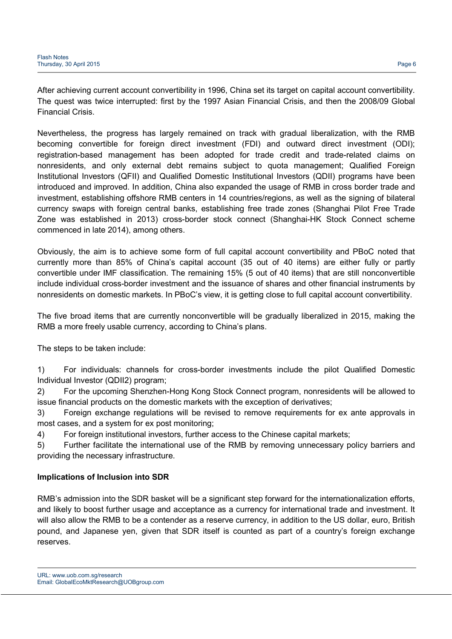After achieving current account convertibility in 1996, China set its target on capital account convertibility. The quest was twice interrupted: first by the 1997 Asian Financial Crisis, and then the 2008/09 Global Financial Crisis.

Nevertheless, the progress has largely remained on track with gradual liberalization, with the RMB becoming convertible for foreign direct investment (FDI) and outward direct investment (ODI); registration-based management has been adopted for trade credit and trade-related claims on nonresidents, and only external debt remains subject to quota management; Qualified Foreign Institutional Investors (QFII) and Qualified Domestic Institutional Investors (QDII) programs have been introduced and improved. In addition, China also expanded the usage of RMB in cross border trade and investment, establishing offshore RMB centers in 14 countries/regions, as well as the signing of bilateral currency swaps with foreign central banks, establishing free trade zones (Shanghai Pilot Free Trade Zone was established in 2013) cross-border stock connect (Shanghai-HK Stock Connect scheme commenced in late 2014), among others.

Obviously, the aim is to achieve some form of full capital account convertibility and PBoC noted that currently more than 85% of China's capital account (35 out of 40 items) are either fully or partly convertible under IMF classification. The remaining 15% (5 out of 40 items) that are still nonconvertible include individual cross-border investment and the issuance of shares and other financial instruments by nonresidents on domestic markets. In PBoC's view, it is getting close to full capital account convertibility.

The five broad items that are currently nonconvertible will be gradually liberalized in 2015, making the RMB a more freely usable currency, according to China's plans.

The steps to be taken include:

1) For individuals: channels for cross-border investments include the pilot Qualified Domestic Individual Investor (QDII2) program;

2) For the upcoming Shenzhen-Hong Kong Stock Connect program, nonresidents will be allowed to issue financial products on the domestic markets with the exception of derivatives;

3) Foreign exchange regulations will be revised to remove requirements for ex ante approvals in most cases, and a system for ex post monitoring;

4) For foreign institutional investors, further access to the Chinese capital markets;

5) Further facilitate the international use of the RMB by removing unnecessary policy barriers and providing the necessary infrastructure.

# **Implications of Inclusion into SDR**

RMB's admission into the SDR basket will be a significant step forward for the internationalization efforts, and likely to boost further usage and acceptance as a currency for international trade and investment. It will also allow the RMB to be a contender as a reserve currency, in addition to the US dollar, euro, British pound, and Japanese yen, given that SDR itself is counted as part of a country's foreign exchange reserves.